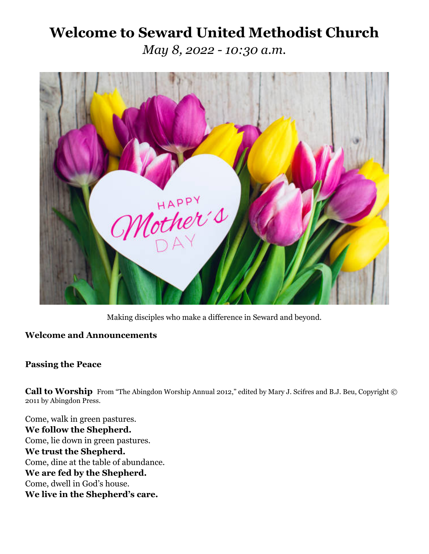# **Welcome to Seward United Methodist Church**

*May 8, 2022 - 10:30 a.m.*



Making disciples who make a difference in Seward and beyond.

#### **Welcome and Announcements**

#### **Passing the Peace**

Call to Worship From "The Abingdon Worship Annual 2012," edited by Mary J. Scifres and B.J. Beu, Copyright © 2011 by Abingdon Press.

Come, walk in green pastures. **We follow the Shepherd.** Come, lie down in green pastures. **We trust the Shepherd.** Come, dine at the table of abundance. **We are fed by the Shepherd.** Come, dwell in God's house. **We live in the Shepherd's care.**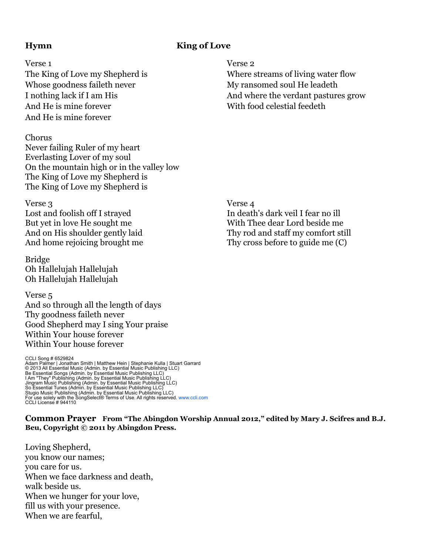#### **Hymn King of Love**

#### Verse 1 Verse 2

Whose goodness faileth never My ransomed soul He leadeth And He is mine forever **And He is mine for the Contract of Contract Contract And He is mine forever** And He is mine forever

Chorus

Never failing Ruler of my heart Everlasting Lover of my soul On the mountain high or in the valley low The King of Love my Shepherd is The King of Love my Shepherd is

Lost and foolish off I strayed In death's dark veil I fear no ill But yet in love He sought me

Bridge Oh Hallelujah Hallelujah Oh Hallelujah Hallelujah

#### Verse 5

And so through all the length of days Thy goodness faileth never Good Shepherd may I sing Your praise Within Your house forever Within Your house forever

CCLI Song # 6529824 Adam Palmer | Jonathan Smith | Matthew Hein | Stephanie Kulla | Stuart Garrard<br>© 2013 All Essential Music (Admin. by Essential Music Publishing LLC)<br>Be Essential Songs (Admin. by Essential Music Publishing LLC)<br>IAm "They" CCLI License # 944110

The King of Love my Shepherd is Where streams of living water flow I nothing lack if I am His And where the verdant pastures grow

Verse 3 Verse 4 And on His shoulder gently laid Thy rod and staff my comfort still And home rejoicing brought me Thy cross before to guide me (C)

**Common Prayer From "The Abingdon Worship Annual 2012," edited by Mary J. Scifres and B.J. Beu, Copyright © 2011 by Abingdon Press.**

Loving Shepherd, you know our names; you care for us. When we face darkness and death, walk beside us. When we hunger for your love, fill us with your presence. When we are fearful,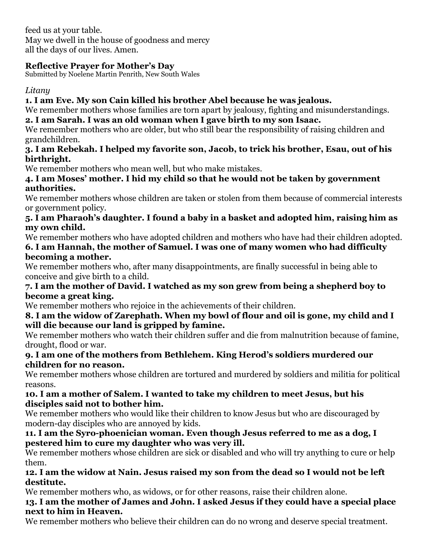feed us at your table. May we dwell in the house of goodness and mercy all the days of our lives. Amen.

#### **Reflective Prayer for Mother's Day**

Submitted by Noelene Martin Penrith, New South Wales

### *Litany*

### **1. I am Eve. My son Cain killed his brother Abel because he was jealous.**

We remember mothers whose families are torn apart by jealousy, fighting and misunderstandings.

#### **2. I am Sarah. I was an old woman when I gave birth to my son Isaac.**

We remember mothers who are older, but who still bear the responsibility of raising children and grandchildren.

#### **3. I am Rebekah. I helped my favorite son, Jacob, to trick his brother, Esau, out of his birthright.**

We remember mothers who mean well, but who make mistakes.

#### **4. I am Moses' mother. I hid my child so that he would not be taken by government authorities.**

We remember mothers whose children are taken or stolen from them because of commercial interests or government policy.

#### **5. I am Pharaoh's daughter. I found a baby in a basket and adopted him, raising him as my own child.**

We remember mothers who have adopted children and mothers who have had their children adopted.

**6. I am Hannah, the mother of Samuel. I was one of many women who had difficulty becoming a mother.**

We remember mothers who, after many disappointments, are finally successful in being able to conceive and give birth to a child.

#### **7. I am the mother of David. I watched as my son grew from being a shepherd boy to become a great king.**

We remember mothers who rejoice in the achievements of their children.

#### **8. I am the widow of Zarephath. When my bowl of flour and oil is gone, my child and I will die because our land is gripped by famine.**

We remember mothers who watch their children suffer and die from malnutrition because of famine, drought, flood or war.

#### **9. I am one of the mothers from Bethlehem. King Herod's soldiers murdered our children for no reason.**

We remember mothers whose children are tortured and murdered by soldiers and militia for political reasons.

#### **10. I am a mother of Salem. I wanted to take my children to meet Jesus, but his disciples said not to bother him.**

We remember mothers who would like their children to know Jesus but who are discouraged by modern-day disciples who are annoyed by kids.

#### **11. I am the Syro-phoenician woman. Even though Jesus referred to me as a dog, I pestered him to cure my daughter who was very ill.**

We remember mothers whose children are sick or disabled and who will try anything to cure or help them.

#### **12. I am the widow at Nain. Jesus raised my son from the dead so I would not be left destitute.**

We remember mothers who, as widows, or for other reasons, raise their children alone.

#### **13. I am the mother of James and John. I asked Jesus if they could have a special place next to him in Heaven.**

We remember mothers who believe their children can do no wrong and deserve special treatment.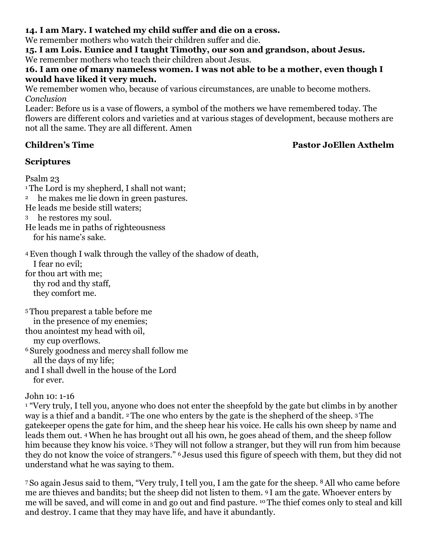#### **14. I am Mary. I watched my child suffer and die on a cross.**

We remember mothers who watch their children suffer and die.

**15. I am Lois. Eunice and I taught Timothy, our son and grandson, about Jesus.** We remember mothers who teach their children about Jesus.

#### **16. I am one of many nameless women. I was not able to be a mother, even though I would have liked it very much.**

We remember women who, because of various circumstances, are unable to become mothers. *Conclusion*

Leader: Before us is a vase of flowers, a symbol of the mothers we have remembered today. The flowers are different colors and varieties and at various stages of development, because mothers are not all the same. They are all different. Amen

#### **Children's Time Pastor JoEllen Axthelm**

#### **Scriptures**

Psalm 23 <sup>1</sup>The Lord is my shepherd, I shall not want; he makes me lie down in green pastures. He leads me beside still waters; he restores my soul. He leads me in paths of righteousness for his name's sake. 4Even though I walk through the valley of the shadow of death, I fear no evil; for thou art with me; thy rod and thy staff, they comfort me. <sup>5</sup> Thou preparest a table before me in the presence of my enemies; thou anointest my head with oil, my cup overflows. <sup>6</sup> Surely goodness and mercy shall follow me all the days of my life; and I shall dwell in the house of the Lord for ever.

#### John 10: 1-16

<sup>1</sup> "Very truly, I tell you, anyone who does not enter the sheepfold by the gate but climbs in by another way is a thief and a bandit. <sup>2</sup> The one who enters by the gate is the shepherd of the sheep. <sup>3</sup> The gatekeeper opens the gate for him, and the sheep hear his voice. He calls his own sheep by name and leads them out. 4When he has brought out all his own, he goes ahead of them, and the sheep follow him because they know his voice. <sup>5</sup>They will not follow a stranger, but they will run from him because they do not know the voice of strangers." <sup>6</sup> Jesus used this figure of speech with them, but they did not understand what he was saying to them.

<sup>7</sup> So again Jesus said to them, "Very truly, I tell you, I am the gate for the sheep. 8All who came before me are thieves and bandits; but the sheep did not listen to them. <sup>9</sup> I am the gate. Whoever enters by me will be saved, and will come in and go out and find pasture. <sup>10</sup> The thief comes only to steal and kill and destroy. I came that they may have life, and have it abundantly.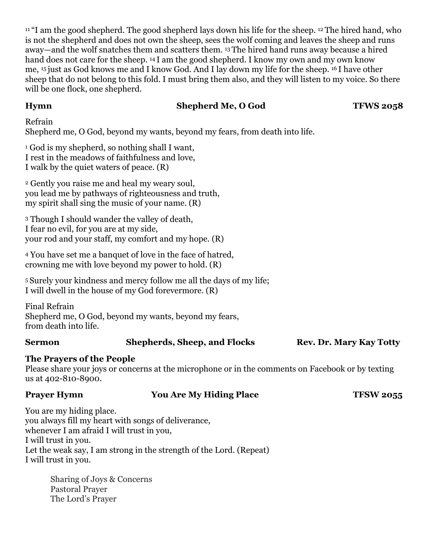<sup>11</sup> "I am the good shepherd. The good shepherd lays down his life for the sheep. <sup>12</sup> The hired hand, who is not the shepherd and does not own the sheep, sees the wolf coming and leaves the sheep and runs away—and the wolf snatches them and scatters them. <sup>13</sup> The hired hand runs away because a hired hand does not care for the sheep. <sup>14</sup> I am the good shepherd. I know my own and my own know me, <sup>15</sup> just as God knows me and I know God. And I lay down my life for the sheep. <sup>16</sup> I have other sheep that do not belong to this fold. I must bring them also, and they will listen to my voice. So there will be one flock, one shepherd.

#### **Hymn Shepherd Me, O God TFWS 2058**

Refrain

Shepherd me, O God, beyond my wants, beyond my fears, from death into life.

1 God is my shepherd, so nothing shall I want, I rest in the meadows of faithfulness and love, I walk by the quiet waters of peace. (R)

2 Gently you raise me and heal my weary soul, you lead me by pathways of righteousness and truth, my spirit shall sing the music of your name. (R)

3 Though I should wander the valley of death, I fear no evil, for you are at my side, your rod and your staff, my comfort and my hope. (R)

4 You have set me a banquet of love in the face of hatred, crowning me with love beyond my power to hold. (R)

5 Surely your kindness and mercy follow me all the days of my life; I will dwell in the house of my God forevermore. (R)

Final Refrain Shepherd me, O God, beyond my wants, beyond my fears, from death into life.

### **Sermon Shepherds, Sheep, and Flocks** Rev. Dr. Mary Kay Totty

#### **The Prayers of the People**

Please share your joys or concerns at the microphone or in the comments on Facebook or by texting us at 402-810-8900.

| <b>Prayer Hymn</b>                                  | <b>You Are My Hiding Place</b>                                      | <b>TFSW 2055</b> |
|-----------------------------------------------------|---------------------------------------------------------------------|------------------|
| You are my hiding place.                            |                                                                     |                  |
| you always fill my heart with songs of deliverance, |                                                                     |                  |
| whenever I am afraid I will trust in you,           |                                                                     |                  |
| I will trust in you.                                |                                                                     |                  |
|                                                     | Let the weak say, I am strong in the strength of the Lord. (Repeat) |                  |
| I will trust in you.                                |                                                                     |                  |
| $\sim$ $\sim$ $\sim$ $\sim$ $\sim$                  |                                                                     |                  |

Sharing of Joys & Concerns Pastoral Prayer The Lord's Prayer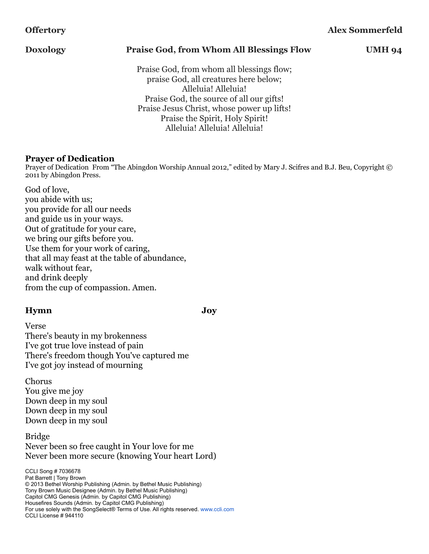#### **Doxology Praise God, from Whom All Blessings Flow UMH 94**

Praise God, from whom all blessings flow; praise God, all creatures here below; Alleluia! Alleluia! Praise God, the source of all our gifts! Praise Jesus Christ, whose power up lifts! Praise the Spirit, Holy Spirit! Alleluia! Alleluia! Alleluia!

#### **Prayer of Dedication**

Prayer of Dedication From "The Abingdon Worship Annual 2012," edited by Mary J. Scifres and B.J. Beu, Copyright © 2011 by Abingdon Press.

God of love, you abide with us; you provide for all our needs and guide us in your ways. Out of gratitude for your care, we bring our gifts before you. Use them for your work of caring, that all may feast at the table of abundance, walk without fear, and drink deeply from the cup of compassion. Amen.

#### **Hymn Joy**

Verse There's beauty in my brokenness I've got true love instead of pain There's freedom though You've captured me I've got joy instead of mourning

Chorus You give me joy Down deep in my soul Down deep in my soul Down deep in my soul

Bridge Never been so free caught in Your love for me Never been more secure (knowing Your heart Lord)

CCLI Song # 7036678 Pat Barrett | Tony Brown © 2013 Bethel Worship Publishing (Admin. by Bethel Music Publishing) Tony Brown Music Designee (Admin. by Bethel Music Publishing) Capitol CMG Genesis (Admin. by Capitol CMG Publishing) Housefires Sounds (Admin. by Capitol CMG Publishing) For use solely with the SongSelect® Terms of Use. All rights reserved. [www.ccli.com](http://www.ccli.com/) CCLI License # 944110